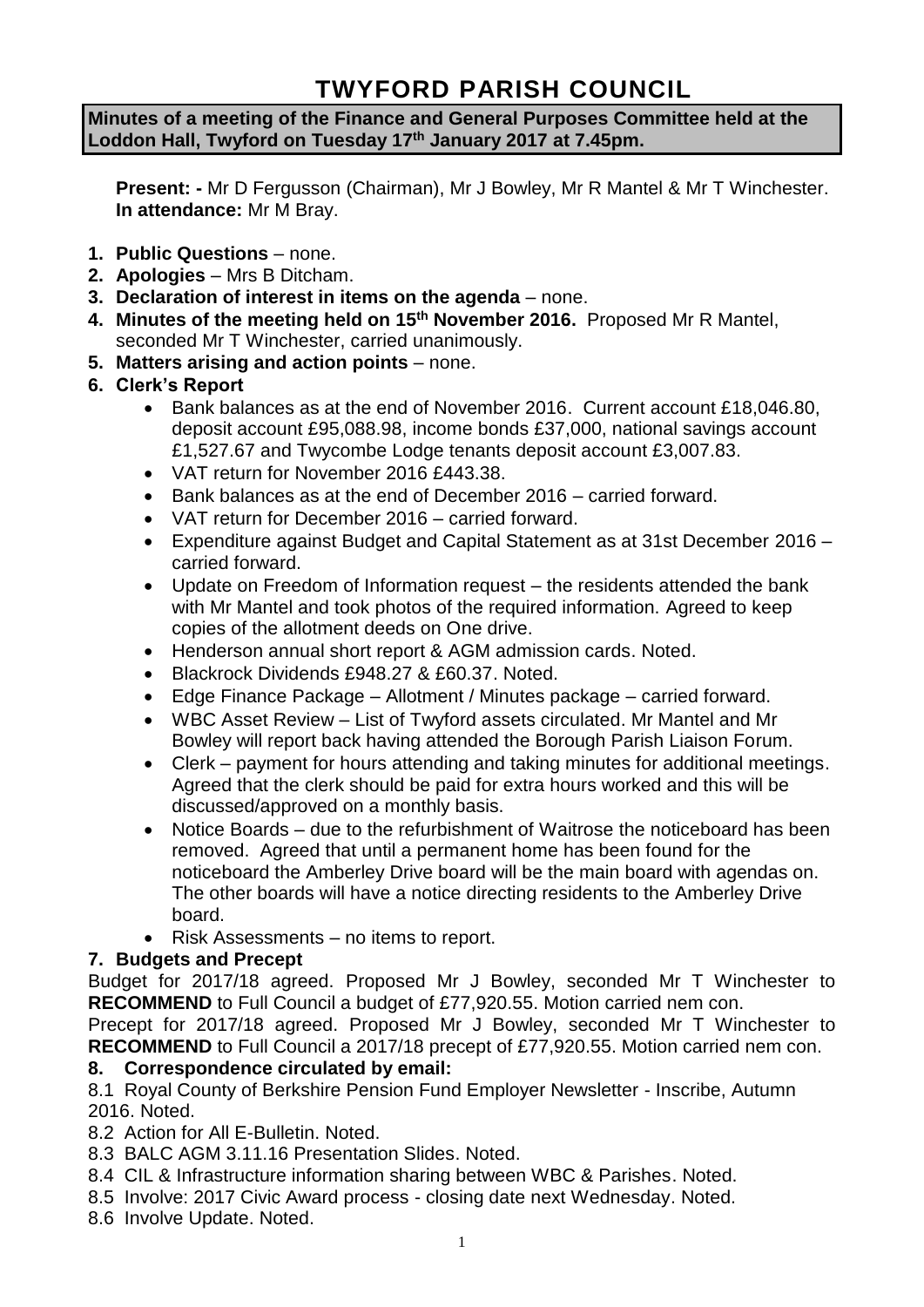# **TWYFORD PARISH COUNCIL**

#### **Minutes of a meeting of the Finance and General Purposes Committee held at the Loddon Hall, Twyford on Tuesday 17th January 2017 at 7.45pm.**

**Present: -** Mr D Fergusson (Chairman), Mr J Bowley, Mr R Mantel & Mr T Winchester. **In attendance:** Mr M Bray.

- **1. Public Questions** none.
- **2. Apologies** Mrs B Ditcham.
- **3. Declaration of interest in items on the agenda**  none.
- **4. Minutes of the meeting held on 15th November 2016.** Proposed Mr R Mantel, seconded Mr T Winchester, carried unanimously.
- **5. Matters arising and action points** none.
- **6. Clerk's Report**
	- Bank balances as at the end of November 2016. Current account £18,046.80, deposit account £95,088.98, income bonds £37,000, national savings account £1,527.67 and Twycombe Lodge tenants deposit account £3,007.83.
	- VAT return for November 2016 £443.38.
	- Bank balances as at the end of December 2016 carried forward.
	- VAT return for December 2016 carried forward.
	- Expenditure against Budget and Capital Statement as at 31st December 2016 carried forward.
	- Update on Freedom of Information request the residents attended the bank with Mr Mantel and took photos of the required information. Agreed to keep copies of the allotment deeds on One drive.
	- Henderson annual short report & AGM admission cards. Noted.
	- Blackrock Dividends £948.27 & £60.37. Noted.
	- Edge Finance Package Allotment / Minutes package carried forward.
	- WBC Asset Review List of Twyford assets circulated. Mr Mantel and Mr Bowley will report back having attended the Borough Parish Liaison Forum.
	- Clerk payment for hours attending and taking minutes for additional meetings. Agreed that the clerk should be paid for extra hours worked and this will be discussed/approved on a monthly basis.
	- Notice Boards due to the refurbishment of Waitrose the noticeboard has been removed. Agreed that until a permanent home has been found for the noticeboard the Amberley Drive board will be the main board with agendas on. The other boards will have a notice directing residents to the Amberley Drive board.
	- Risk Assessments no items to report.

## **7. Budgets and Precept**

Budget for 2017/18 agreed. Proposed Mr J Bowley, seconded Mr T Winchester to **RECOMMEND** to Full Council a budget of £77,920.55. Motion carried nem con.

Precept for 2017/18 agreed. Proposed Mr J Bowley, seconded Mr T Winchester to **RECOMMEND** to Full Council a 2017/18 precept of £77,920.55. Motion carried nem con.

### **8. Correspondence circulated by email:**

8.1 Royal County of Berkshire Pension Fund Employer Newsletter - Inscribe, Autumn 2016. Noted.

- 8.2 Action for All E-Bulletin. Noted.
- 8.3 BALC AGM 3.11.16 Presentation Slides. Noted.
- 8.4 CIL & Infrastructure information sharing between WBC & Parishes. Noted.
- 8.5 Involve: 2017 Civic Award process closing date next Wednesday. Noted.
- 8.6 Involve Update. Noted.